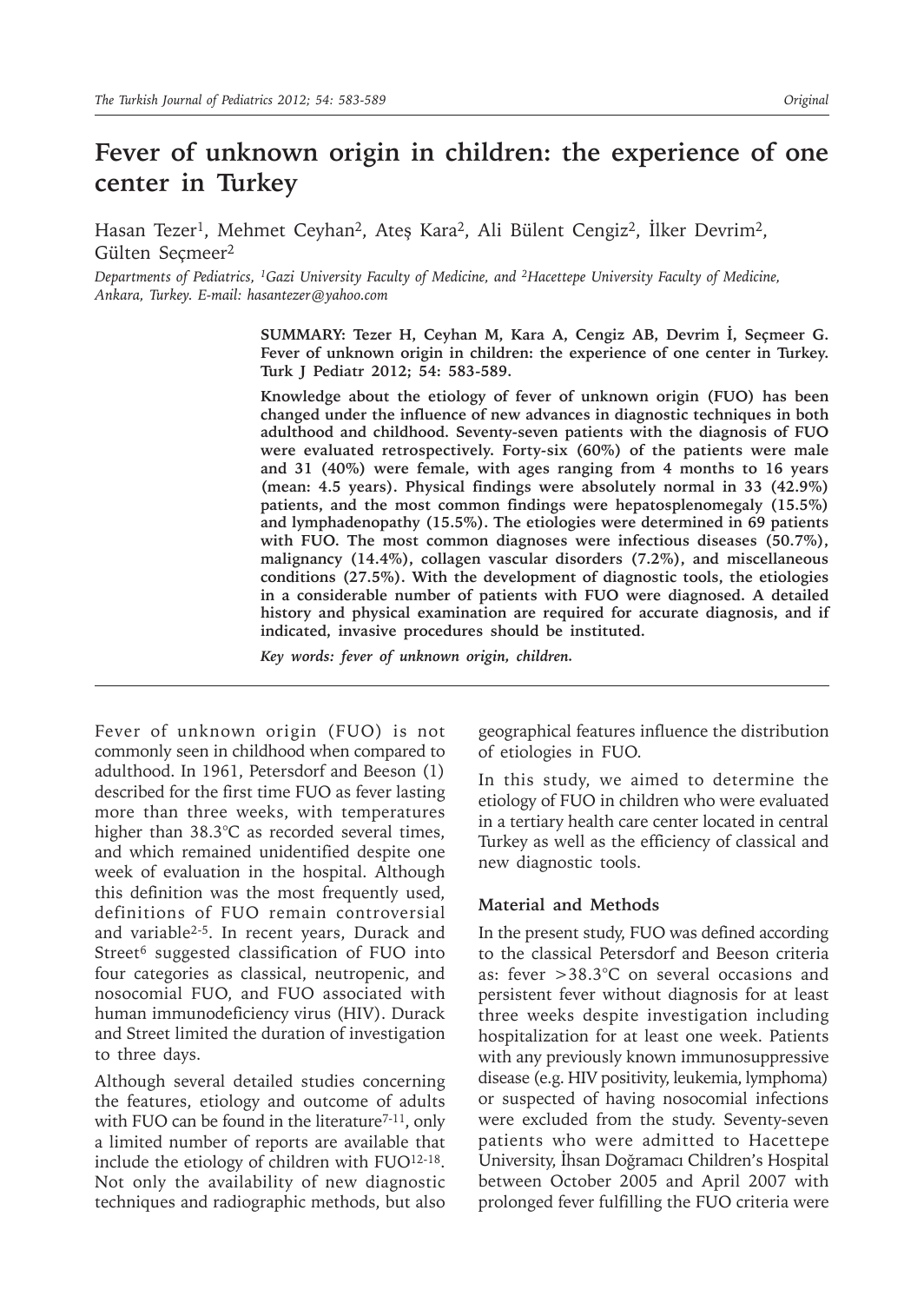# **Fever of unknown origin in children: the experience of one center in Turkey**

Hasan Tezer<sup>1</sup>, Mehmet Ceyhan<sup>2</sup>, Ateş Kara<sup>2</sup>, Ali Bülent Cengiz<sup>2</sup>, İlker Devrim<sup>2</sup>, Gülten Seçmeer<sup>2</sup>

*Departments of Pediatrics, 1Gazi University Faculty of Medicine, and 2Hacettepe University Faculty of Medicine, Ankara, Turkey. E-mail: hasantezer@yahoo.com*

> **SUMMARY: Tezer H, Ceyhan M, Kara A, Cengiz AB, Devrim İ, Seçmeer G. Fever of unknown origin in children: the experience of one center in Turkey. Turk J Pediatr 2012; 54: 583-589.**

> **Knowledge about the etiology of fever of unknown origin (FUO) has been changed under the influence of new advances in diagnostic techniques in both adulthood and childhood. Seventy-seven patients with the diagnosis of FUO were evaluated retrospectively. Forty-six (60%) of the patients were male and 31 (40%) were female, with ages ranging from 4 months to 16 years (mean: 4.5 years). Physical findings were absolutely normal in 33 (42.9%) patients, and the most common findings were hepatosplenomegaly (15.5%) and lymphadenopathy (15.5%). The etiologies were determined in 69 patients with FUO. The most common diagnoses were infectious diseases (50.7%), malignancy (14.4%), collagen vascular disorders (7.2%), and miscellaneous conditions (27.5%). With the development of diagnostic tools, the etiologies in a considerable number of patients with FUO were diagnosed. A detailed history and physical examination are required for accurate diagnosis, and if indicated, invasive procedures should be instituted.**

*Key words: fever of unknown origin, children.*

Fever of unknown origin (FUO) is not commonly seen in childhood when compared to adulthood. In 1961, Petersdorf and Beeson (1) described for the first time FUO as fever lasting more than three weeks, with temperatures higher than 38.3°C as recorded several times, and which remained unidentified despite one week of evaluation in the hospital. Although this definition was the most frequently used, definitions of FUO remain controversial and variable2-5. In recent years, Durack and Street<sup>6</sup> suggested classification of FUO into four categories as classical, neutropenic, and nosocomial FUO, and FUO associated with human immunodeficiency virus (HIV). Durack and Street limited the duration of investigation to three days.

Although several detailed studies concerning the features, etiology and outcome of adults with FUO can be found in the literature<sup>7-11</sup>, only a limited number of reports are available that include the etiology of children with FUO12-18. Not only the availability of new diagnostic techniques and radiographic methods, but also

geographical features influence the distribution of etiologies in FUO.

In this study, we aimed to determine the etiology of FUO in children who were evaluated in a tertiary health care center located in central Turkey as well as the efficiency of classical and new diagnostic tools.

#### **Material and Methods**

In the present study, FUO was defined according to the classical Petersdorf and Beeson criteria as: fever >38.3°C on several occasions and persistent fever without diagnosis for at least three weeks despite investigation including hospitalization for at least one week. Patients with any previously known immunosuppressive disease (e.g. HIV positivity, leukemia, lymphoma) or suspected of having nosocomial infections were excluded from the study. Seventy-seven patients who were admitted to Hacettepe University, İhsan Doğramacı Children's Hospital between October 2005 and April 2007 with prolonged fever fulfilling the FUO criteria were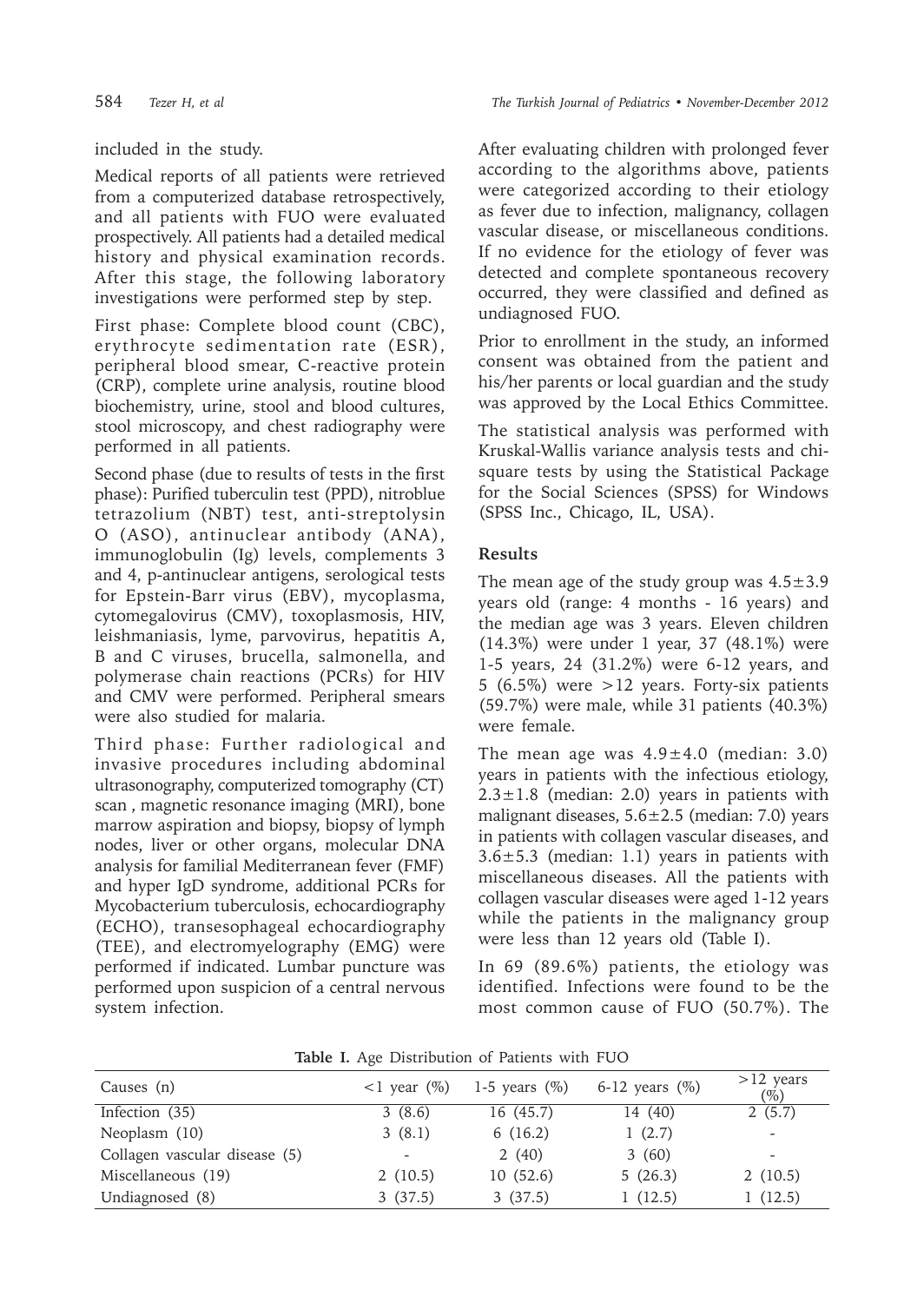### included in the study.

Medical reports of all patients were retrieved from a computerized database retrospectively, and all patients with FUO were evaluated prospectively. All patients had a detailed medical history and physical examination records. After this stage, the following laboratory investigations were performed step by step.

First phase: Complete blood count (CBC), erythrocyte sedimentation rate (ESR), peripheral blood smear, C-reactive protein (CRP), complete urine analysis, routine blood biochemistry, urine, stool and blood cultures, stool microscopy, and chest radiography were performed in all patients.

Second phase (due to results of tests in the first phase): Purified tuberculin test (PPD), nitroblue tetrazolium (NBT) test, anti-streptolysin O (ASO), antinuclear antibody (ANA), immunoglobulin (Ig) levels, complements 3 and 4, p-antinuclear antigens, serological tests for Epstein-Barr virus (EBV), mycoplasma, cytomegalovirus (CMV), toxoplasmosis, HIV, leishmaniasis, lyme, parvovirus, hepatitis A, B and C viruses, brucella, salmonella, and polymerase chain reactions (PCRs) for HIV and CMV were performed. Peripheral smears were also studied for malaria.

Third phase: Further radiological and invasive procedures including abdominal ultrasonography, computerized tomography (CT) scan , magnetic resonance imaging (MRI), bone marrow aspiration and biopsy, biopsy of lymph nodes, liver or other organs, molecular DNA analysis for familial Mediterranean fever (FMF) and hyper IgD syndrome, additional PCRs for Mycobacterium tuberculosis, echocardiography (ECHO), transesophageal echocardiography (TEE), and electromyelography (EMG) were performed if indicated. Lumbar puncture was performed upon suspicion of a central nervous system infection.

After evaluating children with prolonged fever according to the algorithms above, patients were categorized according to their etiology as fever due to infection, malignancy, collagen vascular disease, or miscellaneous conditions. If no evidence for the etiology of fever was detected and complete spontaneous recovery occurred, they were classified and defined as undiagnosed FUO.

Prior to enrollment in the study, an informed consent was obtained from the patient and his/her parents or local guardian and the study was approved by the Local Ethics Committee.

The statistical analysis was performed with Kruskal-Wallis variance analysis tests and chisquare tests by using the Statistical Package for the Social Sciences (SPSS) for Windows (SPSS Inc., Chicago, IL, USA).

## **Results**

The mean age of the study group was  $4.5 \pm 3.9$ years old (range: 4 months - 16 years) and the median age was 3 years. Eleven children (14.3%) were under 1 year, 37 (48.1%) were 1-5 years, 24 (31.2%) were 6-12 years, and 5 (6.5%) were  $>12$  years. Forty-six patients (59.7%) were male, while 31 patients (40.3%) were female.

The mean age was  $4.9 \pm 4.0$  (median: 3.0) years in patients with the infectious etiology,  $2.3 \pm 1.8$  (median: 2.0) years in patients with malignant diseases,  $5.6 \pm 2.5$  (median: 7.0) years in patients with collagen vascular diseases, and  $3.6 \pm 5.3$  (median: 1.1) years in patients with miscellaneous diseases. All the patients with collagen vascular diseases were aged 1-12 years while the patients in the malignancy group were less than 12 years old (Table I).

In 69 (89.6%) patients, the etiology was identified. Infections were found to be the most common cause of FUO (50.7%). The

| Causes (n)                    | $\langle 1 \rangle$ vear $(\% )$ | 1-5 years $(\%)$ | 6-12 years $(\% )$ | $>12$ years<br>$(\%)$    |
|-------------------------------|----------------------------------|------------------|--------------------|--------------------------|
| Infection (35)                | 3(8.6)                           | 16(45.7)         | 14 (40)            | 2(5.7)                   |
| Neoplasm (10)                 | 3(8.1)                           | 6(16.2)          | 1(2.7)             |                          |
| Collagen vascular disease (5) | $\overline{\phantom{a}}$         | 2(40)            | 3(60)              | $\overline{\phantom{0}}$ |
| Miscellaneous (19)            | 2(10.5)                          | 10(52.6)         | 5(26.3)            | 2(10.5)                  |
| Undiagnosed (8)               | 3(37.5)                          | 3(37.5)          | 1(12.5)            | 1 (12.5)                 |

**Table I.** Age Distribution of Patients with FUO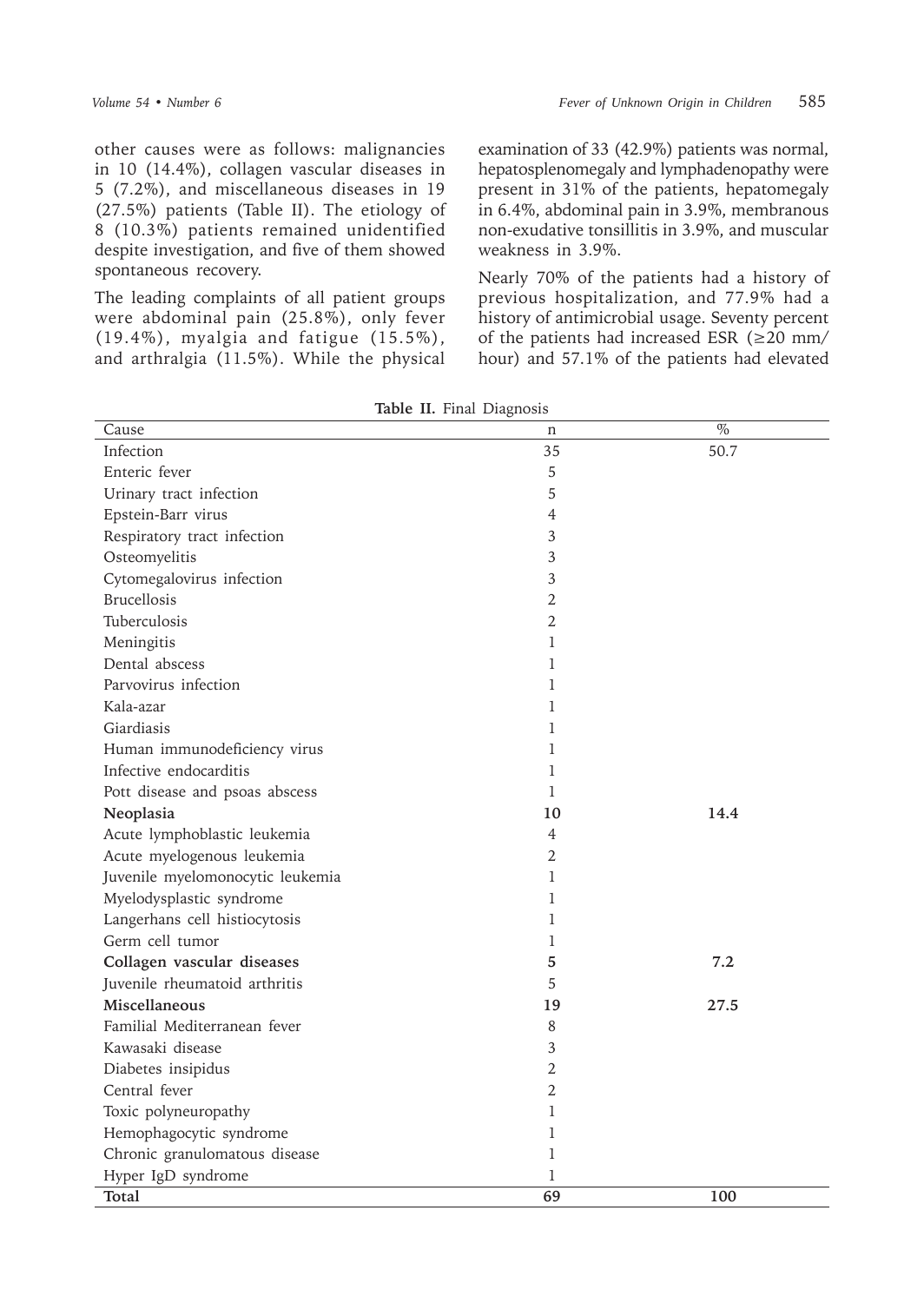other causes were as follows: malignancies in 10 (14.4%), collagen vascular diseases in 5 (7.2%), and miscellaneous diseases in 19 (27.5%) patients (Table II). The etiology of 8 (10.3%) patients remained unidentified despite investigation, and five of them showed spontaneous recovery.

The leading complaints of all patient groups were abdominal pain (25.8%), only fever (19.4%), myalgia and fatigue (15.5%), and arthralgia (11.5%). While the physical examination of 33 (42.9%) patients was normal, hepatosplenomegaly and lymphadenopathy were present in 31% of the patients, hepatomegaly in 6.4%, abdominal pain in 3.9%, membranous non-exudative tonsillitis in 3.9%, and muscular weakness in 3.9%.

Nearly 70% of the patients had a history of previous hospitalization, and 77.9% had a history of antimicrobial usage. Seventy percent of the patients had increased ESR ( $\geq$ 20 mm/ hour) and 57.1% of the patients had elevated

| Cause                            | ပ<br>n         | $\%$ |
|----------------------------------|----------------|------|
| Infection                        | 35             | 50.7 |
| Enteric fever                    | 5              |      |
| Urinary tract infection          | 5              |      |
| Epstein-Barr virus               | 4              |      |
| Respiratory tract infection      | 3              |      |
| Osteomyelitis                    | 3              |      |
| Cytomegalovirus infection        | 3              |      |
| <b>Brucellosis</b>               | 2              |      |
| Tuberculosis                     | 2              |      |
| Meningitis                       | 1              |      |
| Dental abscess                   | 1              |      |
| Parvovirus infection             | 1              |      |
| Kala-azar                        | 1              |      |
| Giardiasis                       | 1              |      |
| Human immunodeficiency virus     | 1              |      |
| Infective endocarditis           | 1              |      |
| Pott disease and psoas abscess   | 1              |      |
| Neoplasia                        | 10             | 14.4 |
| Acute lymphoblastic leukemia     | 4              |      |
| Acute myelogenous leukemia       | $\overline{2}$ |      |
| Juvenile myelomonocytic leukemia | 1              |      |
| Myelodysplastic syndrome         | 1              |      |
| Langerhans cell histiocytosis    | 1              |      |
| Germ cell tumor                  | 1              |      |
| Collagen vascular diseases       | 5              | 7.2  |
| Juvenile rheumatoid arthritis    | 5              |      |
| Miscellaneous                    | 19             | 27.5 |
| Familial Mediterranean fever     | 8              |      |
| Kawasaki disease                 | $\mathfrak{Z}$ |      |
| Diabetes insipidus               | $\overline{2}$ |      |
| Central fever                    | $\overline{2}$ |      |
| Toxic polyneuropathy             | 1              |      |
| Hemophagocytic syndrome          | 1              |      |
| Chronic granulomatous disease    | 1              |      |
| Hyper IgD syndrome               | 1              |      |
| Total                            | 69             | 100  |

**Table II.** Final Diagnosis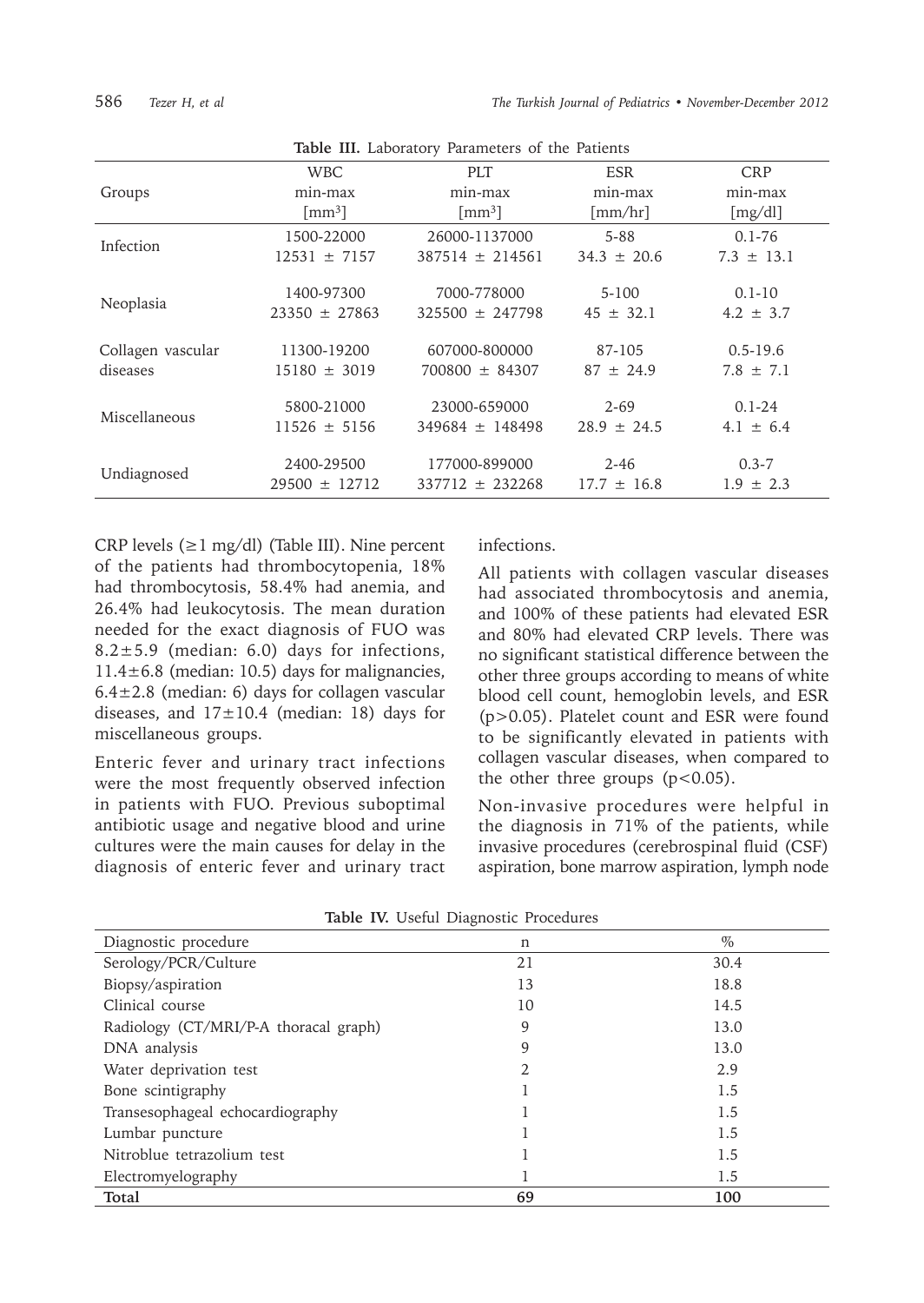| Table III. Laboratory Parameters of the Patients |                      |                      |                 |                |
|--------------------------------------------------|----------------------|----------------------|-----------------|----------------|
|                                                  | <b>WBC</b>           | <b>PLT</b>           | <b>ESR</b>      | <b>CRP</b>     |
| Groups                                           | min-max              | min-max              | min-max         | min-max        |
|                                                  | $\lceil mm^3 \rceil$ | $\lceil mm^3 \rceil$ | $\lceil$ mm/hr] | [mg/dl]        |
| Infection                                        | 1500-22000           | 26000-1137000        | $5 - 88$        | $0.1 - 76$     |
|                                                  | $12531 \pm 7157$     | $387514 \pm 214561$  | $34.3 \pm 20.6$ | $7.3 \pm 13.1$ |
| Neoplasia                                        | 1400-97300           | 7000-778000          | $5 - 100$       | $0.1 - 10$     |
|                                                  | $23350 \pm 27863$    | $325500 \pm 247798$  | $45 \pm 32.1$   | $4.2 \pm 3.7$  |
| Collagen vascular                                | 11300-19200          | 607000-800000        | 87-105          | $0.5 - 19.6$   |
| diseases                                         | $15180 \pm 3019$     | $700800 \pm 84307$   | $87 \pm 24.9$   | $7.8 \pm 7.1$  |
| Miscellaneous                                    | 5800-21000           | 23000-659000         | $2 - 69$        | $0.1 - 24$     |
|                                                  | $11526 \pm 5156$     | $349684 \pm 148498$  | $28.9 \pm 24.5$ | $4.1 \pm 6.4$  |
| Undiagnosed                                      | 2400-29500           | 177000-899000        | $2 - 46$        | $0.3 - 7$      |
|                                                  | $29500 \pm 12712$    | $337712 \pm 232268$  | $17.7 \pm 16.8$ | $1.9 \pm 2.3$  |

CRP levels  $(\geq 1 \text{ mg/dl})$  (Table III). Nine percent of the patients had thrombocytopenia, 18% had thrombocytosis, 58.4% had anemia, and 26.4% had leukocytosis. The mean duration needed for the exact diagnosis of FUO was 8.2 $\pm$ 5.9 (median: 6.0) days for infections. 11.4±6.8 (median: 10.5) days for malignancies,  $6.4 \pm 2.8$  (median: 6) days for collagen vascular diseases, and  $17\pm10.4$  (median: 18) days for miscellaneous groups.

Enteric fever and urinary tract infections were the most frequently observed infection in patients with FUO. Previous suboptimal antibiotic usage and negative blood and urine cultures were the main causes for delay in the diagnosis of enteric fever and urinary tract infections.

All patients with collagen vascular diseases had associated thrombocytosis and anemia, and 100% of these patients had elevated ESR and 80% had elevated CRP levels. There was no significant statistical difference between the other three groups according to means of white blood cell count, hemoglobin levels, and ESR (p>0.05). Platelet count and ESR were found to be significantly elevated in patients with collagen vascular diseases, when compared to the other three groups  $(p<0.05)$ .

Non-invasive procedures were helpful in the diagnosis in 71% of the patients, while invasive procedures (cerebrospinal fluid (CSF) aspiration, bone marrow aspiration, lymph node

| Diagnostic procedure                  | n              | $\%$ |
|---------------------------------------|----------------|------|
| Serology/PCR/Culture                  | 21             | 30.4 |
| Biopsy/aspiration                     | 13             | 18.8 |
| Clinical course                       | 10             | 14.5 |
| Radiology (CT/MRI/P-A thoracal graph) | 9              | 13.0 |
| DNA analysis                          | 9              | 13.0 |
| Water deprivation test                | $\mathfrak{D}$ | 2.9  |
| Bone scintigraphy                     |                | 1.5  |
| Transesophageal echocardiography      |                | 1.5  |
| Lumbar puncture                       |                | 1.5  |
| Nitroblue tetrazolium test            |                | 1.5  |
| Electromyelography                    |                | 1.5  |
| Total                                 | 69             | 100  |

|  |  |  | Table IV. Useful Diagnostic Procedures |  |
|--|--|--|----------------------------------------|--|
|--|--|--|----------------------------------------|--|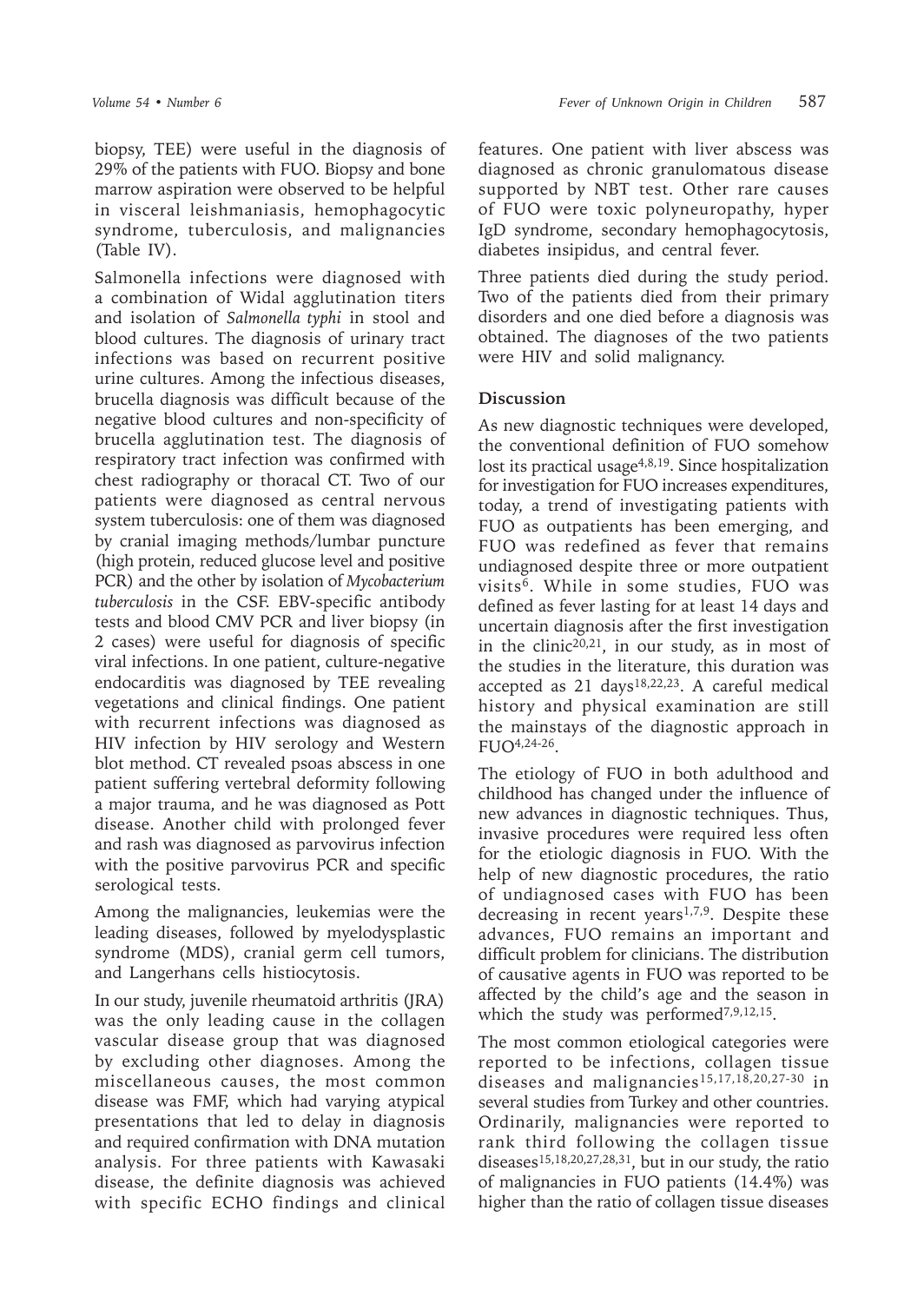biopsy, TEE) were useful in the diagnosis of 29% of the patients with FUO. Biopsy and bone marrow aspiration were observed to be helpful in visceral leishmaniasis, hemophagocytic syndrome, tuberculosis, and malignancies (Table IV).

Salmonella infections were diagnosed with a combination of Widal agglutination titers and isolation of *Salmonella typhi* in stool and blood cultures. The diagnosis of urinary tract infections was based on recurrent positive urine cultures. Among the infectious diseases, brucella diagnosis was difficult because of the negative blood cultures and non-specificity of brucella agglutination test. The diagnosis of respiratory tract infection was confirmed with chest radiography or thoracal CT. Two of our patients were diagnosed as central nervous system tuberculosis: one of them was diagnosed by cranial imaging methods/lumbar puncture (high protein, reduced glucose level and positive PCR) and the other by isolation of *Mycobacterium tuberculosis* in the CSF. EBV-specific antibody tests and blood CMV PCR and liver biopsy (in 2 cases) were useful for diagnosis of specific viral infections. In one patient, culture-negative endocarditis was diagnosed by TEE revealing vegetations and clinical findings. One patient with recurrent infections was diagnosed as HIV infection by HIV serology and Western blot method. CT revealed psoas abscess in one patient suffering vertebral deformity following a major trauma, and he was diagnosed as Pott disease. Another child with prolonged fever and rash was diagnosed as parvovirus infection with the positive parvovirus PCR and specific serological tests.

Among the malignancies, leukemias were the leading diseases, followed by myelodysplastic syndrome (MDS), cranial germ cell tumors, and Langerhans cells histiocytosis.

In our study, juvenile rheumatoid arthritis (JRA) was the only leading cause in the collagen vascular disease group that was diagnosed by excluding other diagnoses. Among the miscellaneous causes, the most common disease was FMF, which had varying atypical presentations that led to delay in diagnosis and required confirmation with DNA mutation analysis. For three patients with Kawasaki disease, the definite diagnosis was achieved with specific ECHO findings and clinical

features. One patient with liver abscess was diagnosed as chronic granulomatous disease supported by NBT test. Other rare causes of FUO were toxic polyneuropathy, hyper IgD syndrome, secondary hemophagocytosis, diabetes insipidus, and central fever.

Three patients died during the study period. Two of the patients died from their primary disorders and one died before a diagnosis was obtained. The diagnoses of the two patients were HIV and solid malignancy.

### **Discussion**

As new diagnostic techniques were developed, the conventional definition of FUO somehow lost its practical usage $4,8,19$ . Since hospitalization for investigation for FUO increases expenditures, today, a trend of investigating patients with FUO as outpatients has been emerging, and FUO was redefined as fever that remains undiagnosed despite three or more outpatient visits6. While in some studies, FUO was defined as fever lasting for at least 14 days and uncertain diagnosis after the first investigation in the clinic20,21, in our study, as in most of the studies in the literature, this duration was accepted as 21 days18,22,23. A careful medical history and physical examination are still the mainstays of the diagnostic approach in FUO4,24-26.

The etiology of FUO in both adulthood and childhood has changed under the influence of new advances in diagnostic techniques. Thus, invasive procedures were required less often for the etiologic diagnosis in FUO. With the help of new diagnostic procedures, the ratio of undiagnosed cases with FUO has been decreasing in recent years<sup>1,7,9</sup>. Despite these advances, FUO remains an important and difficult problem for clinicians. The distribution of causative agents in FUO was reported to be affected by the child's age and the season in which the study was performed<sup>7,9,12,15</sup>.

The most common etiological categories were reported to be infections, collagen tissue diseases and malignancies15,17,18,20,27-30 in several studies from Turkey and other countries. Ordinarily, malignancies were reported to rank third following the collagen tissue diseases<sup>15,18,20,27,28,31</sup>, but in our study, the ratio of malignancies in FUO patients (14.4%) was higher than the ratio of collagen tissue diseases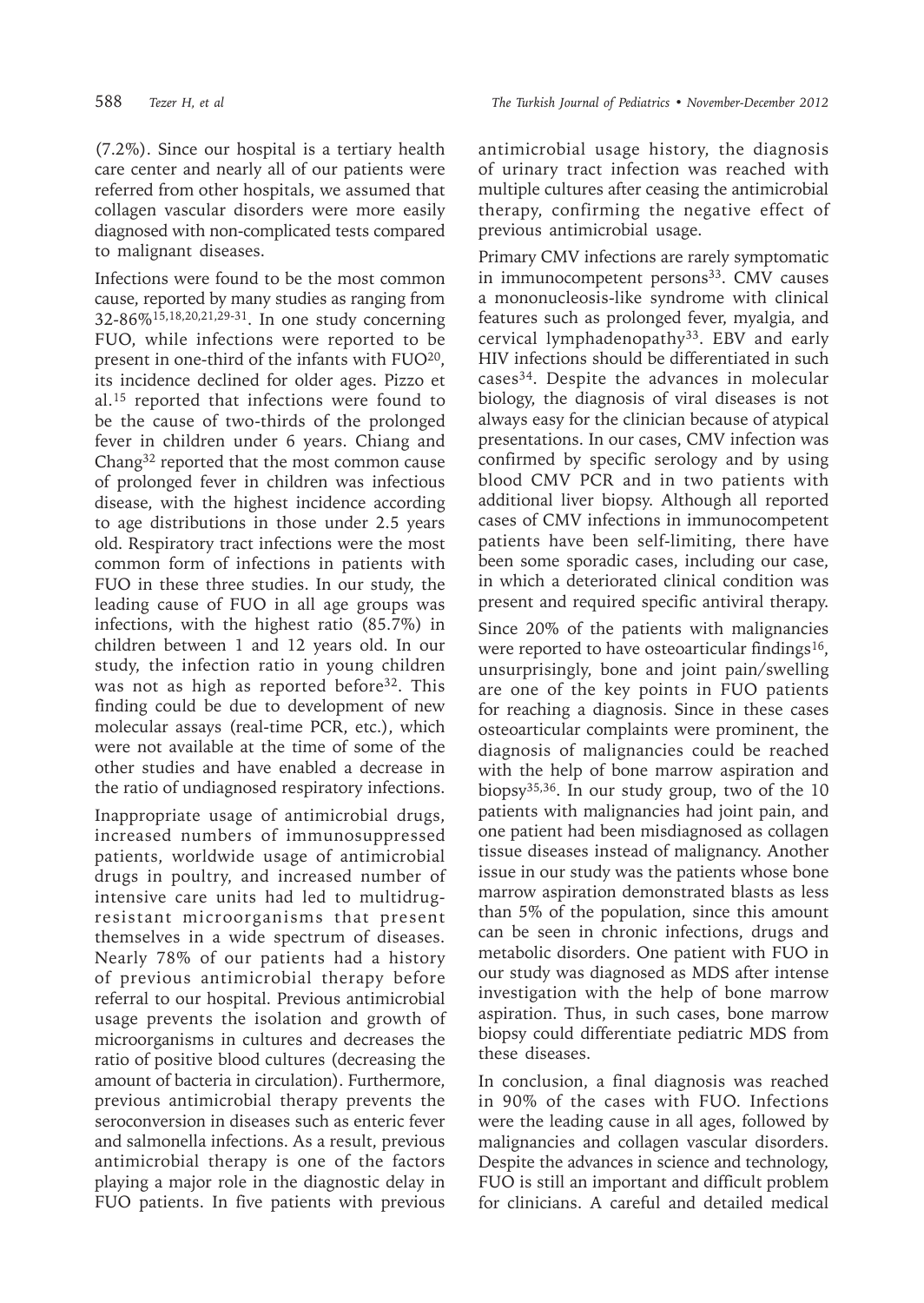588 *Tezer H, et al The Turkish Journal of Pediatrics • November-December 2012*

(7.2%). Since our hospital is a tertiary health care center and nearly all of our patients were referred from other hospitals, we assumed that collagen vascular disorders were more easily diagnosed with non-complicated tests compared to malignant diseases.

Infections were found to be the most common cause, reported by many studies as ranging from 32-86%15,18,20,21,29-31. In one study concerning FUO, while infections were reported to be present in one-third of the infants with FUO20, its incidence declined for older ages. Pizzo et al.15 reported that infections were found to be the cause of two-thirds of the prolonged fever in children under 6 years. Chiang and Chang32 reported that the most common cause of prolonged fever in children was infectious disease, with the highest incidence according to age distributions in those under 2.5 years old. Respiratory tract infections were the most common form of infections in patients with FUO in these three studies. In our study, the leading cause of FUO in all age groups was infections, with the highest ratio (85.7%) in children between 1 and 12 years old. In our study, the infection ratio in young children was not as high as reported before<sup>32</sup>. This finding could be due to development of new molecular assays (real-time PCR, etc.), which were not available at the time of some of the other studies and have enabled a decrease in the ratio of undiagnosed respiratory infections.

Inappropriate usage of antimicrobial drugs, increased numbers of immunosuppressed patients, worldwide usage of antimicrobial drugs in poultry, and increased number of intensive care units had led to multidrugresistant microorganisms that present themselves in a wide spectrum of diseases. Nearly 78% of our patients had a history of previous antimicrobial therapy before referral to our hospital. Previous antimicrobial usage prevents the isolation and growth of microorganisms in cultures and decreases the ratio of positive blood cultures (decreasing the amount of bacteria in circulation). Furthermore, previous antimicrobial therapy prevents the seroconversion in diseases such as enteric fever and salmonella infections. As a result, previous antimicrobial therapy is one of the factors playing a major role in the diagnostic delay in FUO patients. In five patients with previous

antimicrobial usage history, the diagnosis of urinary tract infection was reached with multiple cultures after ceasing the antimicrobial therapy, confirming the negative effect of previous antimicrobial usage.

Primary CMV infections are rarely symptomatic in immunocompetent persons $33$ . CMV causes a mononucleosis-like syndrome with clinical features such as prolonged fever, myalgia, and cervical lymphadenopathy33. EBV and early HIV infections should be differentiated in such cases34. Despite the advances in molecular biology, the diagnosis of viral diseases is not always easy for the clinician because of atypical presentations. In our cases, CMV infection was confirmed by specific serology and by using blood CMV PCR and in two patients with additional liver biopsy. Although all reported cases of CMV infections in immunocompetent patients have been self-limiting, there have been some sporadic cases, including our case, in which a deteriorated clinical condition was present and required specific antiviral therapy.

Since 20% of the patients with malignancies were reported to have osteoarticular findings<sup>16</sup>, unsurprisingly, bone and joint pain/swelling are one of the key points in FUO patients for reaching a diagnosis. Since in these cases osteoarticular complaints were prominent, the diagnosis of malignancies could be reached with the help of bone marrow aspiration and biopsy35,36. In our study group, two of the 10 patients with malignancies had joint pain, and one patient had been misdiagnosed as collagen tissue diseases instead of malignancy. Another issue in our study was the patients whose bone marrow aspiration demonstrated blasts as less than 5% of the population, since this amount can be seen in chronic infections, drugs and metabolic disorders. One patient with FUO in our study was diagnosed as MDS after intense investigation with the help of bone marrow aspiration. Thus, in such cases, bone marrow biopsy could differentiate pediatric MDS from these diseases.

In conclusion, a final diagnosis was reached in 90% of the cases with FUO. Infections were the leading cause in all ages, followed by malignancies and collagen vascular disorders. Despite the advances in science and technology, FUO is still an important and difficult problem for clinicians. A careful and detailed medical